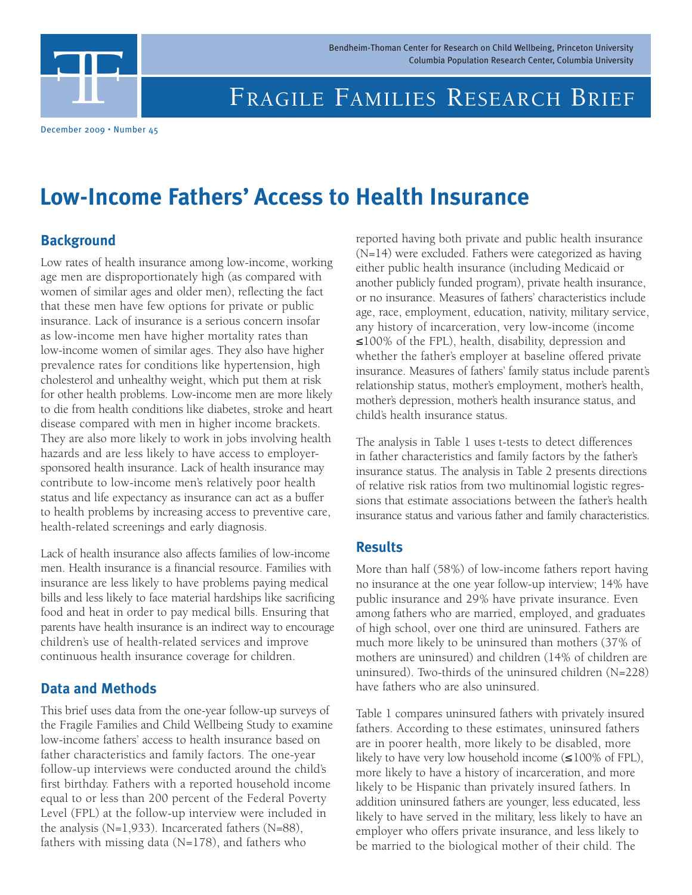Bendheim-Thoman Center for Research on Child Wellbeing, Princeton University

# FRAGILE FAMILIES RESEARCH BRIEF Bendheim-Thoman Center for Research on Child Wellbeing, Princeton University<br>Columbia Population Research Center, Columbia University<br>FRAGILE FAMILIES RESEARCH BRIEF

December 2009 • Number 45

### **Low-Income Fathers' Access to Health Insurance**

#### **Background**

Low rates of health insurance among low-income, working age men are disproportionately high (as compared with women of similar ages and older men), reflecting the fact that these men have few options for private or public insurance. Lack of insurance is a serious concern insofar as low-income men have higher mortality rates than low-income women of similar ages. They also have higher prevalence rates for conditions like hypertension, high cholesterol and unhealthy weight, which put them at risk for other health problems. Low-income men are more likely to die from health conditions like diabetes, stroke and heart disease compared with men in higher income brackets. They are also more likely to work in jobs involving health hazards and are less likely to have access to employersponsored health insurance. Lack of health insurance may contribute to low-income men's relatively poor health status and life expectancy as insurance can act as a buffer to health problems by increasing access to preventive care, health-related screenings and early diagnosis.

Lack of health insurance also affects families of low-income men. Health insurance is a financial resource. Families with insurance are less likely to have problems paying medical bills and less likely to face material hardships like sacrificing food and heat in order to pay medical bills. Ensuring that parents have health insurance is an indirect way to encourage children's use of health-related services and improve continuous health insurance coverage for children.

#### **Data and Methods**

This brief uses data from the one-year follow-up surveys of the Fragile Families and Child Wellbeing Study to examine low-income fathers' access to health insurance based on father characteristics and family factors. The one-year follow-up interviews were conducted around the child's first birthday. Fathers with a reported household income equal to or less than 200 percent of the Federal Poverty Level (FPL) at the follow-up interview were included in the analysis (N=1,933). Incarcerated fathers (N=88), fathers with missing data  $(N=178)$ , and fathers who

reported having both private and public health insurance (N=14) were excluded. Fathers were categorized as having either public health insurance (including Medicaid or another publicly funded program), private health insurance, or no insurance. Measures of fathers' characteristics include age, race, employment, education, nativity, military service, any history of incarceration, very low-income (income ≤100% of the FPL), health, disability, depression and whether the father's employer at baseline offered private insurance. Measures of fathers' family status include parent's relationship status, mother's employment, mother's health, mother's depression, mother's health insurance status, and child's health insurance status.

The analysis in Table 1 uses t-tests to detect differences in father characteristics and family factors by the father's insurance status. The analysis in Table 2 presents directions of relative risk ratios from two multinomial logistic regressions that estimate associations between the father's health insurance status and various father and family characteristics.

#### **Results**

More than half (58%) of low-income fathers report having no insurance at the one year follow-up interview; 14% have public insurance and 29% have private insurance. Even among fathers who are married, employed, and graduates of high school, over one third are uninsured. Fathers are much more likely to be uninsured than mothers (37% of mothers are uninsured) and children (14% of children are uninsured). Two-thirds of the uninsured children (N=228) have fathers who are also uninsured.

Table 1 compares uninsured fathers with privately insured fathers. According to these estimates, uninsured fathers are in poorer health, more likely to be disabled, more likely to have very low household income (≤100% of FPL), more likely to have a history of incarceration, and more likely to be Hispanic than privately insured fathers. In addition uninsured fathers are younger, less educated, less likely to have served in the military, less likely to have an employer who offers private insurance, and less likely to be married to the biological mother of their child. The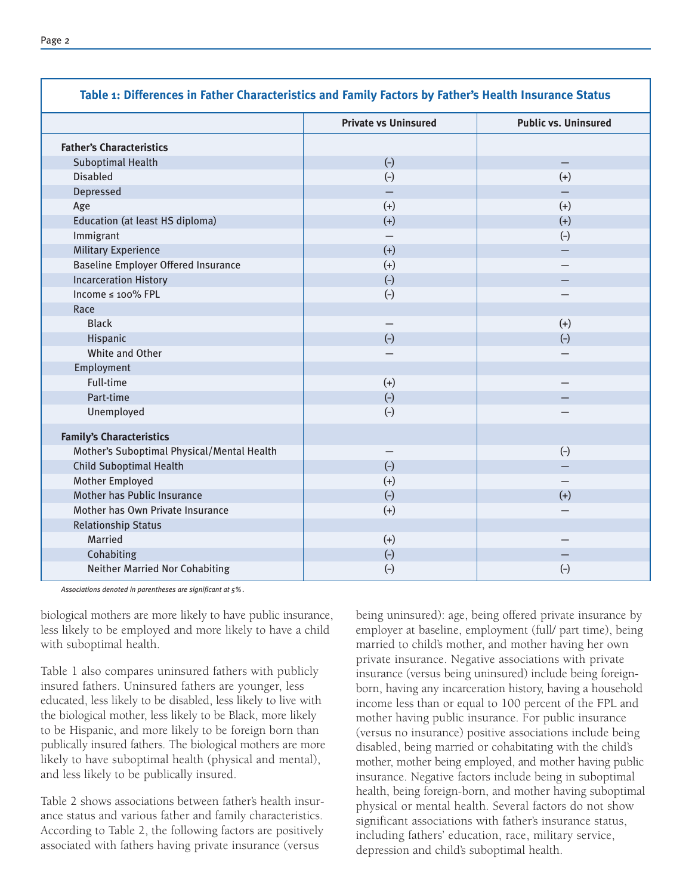|                                            | <b>Private vs Uninsured</b> | <b>Public vs. Uninsured</b> |
|--------------------------------------------|-----------------------------|-----------------------------|
| <b>Father's Characteristics</b>            |                             |                             |
| <b>Suboptimal Health</b>                   | $(-)$                       | $\qquad \qquad -$           |
| <b>Disabled</b>                            | $(-)$                       | $(+)$                       |
| Depressed                                  |                             |                             |
| Age                                        | $(+)$                       | $(+)$                       |
| Education (at least HS diploma)            | $(+)$                       | $(+)$                       |
| Immigrant                                  |                             | $(-)$                       |
| <b>Military Experience</b>                 | $(+)$                       |                             |
| <b>Baseline Employer Offered Insurance</b> | $(+)$                       | $\overline{\phantom{0}}$    |
| <b>Incarceration History</b>               | $(-)$                       |                             |
| Income ≤ 100% FPL                          | $(-)$                       |                             |
| Race                                       |                             |                             |
| <b>Black</b>                               |                             | $(+)$                       |
| Hispanic                                   | $(-)$                       | $(-)$                       |
| White and Other                            |                             |                             |
| Employment                                 |                             |                             |
| Full-time                                  | $(+)$                       | $\qquad \qquad -$           |
| Part-time                                  | $(-)$                       |                             |
| Unemployed                                 | $(-)$                       |                             |
| <b>Family's Characteristics</b>            |                             |                             |
| Mother's Suboptimal Physical/Mental Health |                             | $(-)$                       |
| <b>Child Suboptimal Health</b>             | $(-)$                       | $\overline{\phantom{0}}$    |
| Mother Employed                            | $(+)$                       |                             |
| Mother has Public Insurance                | $(-)$                       | $(+)$                       |
| Mother has Own Private Insurance           | $(+)$                       |                             |
| <b>Relationship Status</b>                 |                             |                             |
| Married                                    | $(+)$                       |                             |
| Cohabiting                                 | $(-)$                       |                             |
| <b>Neither Married Nor Cohabiting</b>      | $(-)$                       | $\left(\text{-}\right)$     |

**Table 1: Differences in Father Characteristics and Family Factors by Father's Health Insurance Status**

*Associations denoted in parentheses are significant at 5%.*

biological mothers are more likely to have public insurance, less likely to be employed and more likely to have a child with suboptimal health.

Table 1 also compares uninsured fathers with publicly insured fathers. Uninsured fathers are younger, less educated, less likely to be disabled, less likely to live with the biological mother, less likely to be Black, more likely to be Hispanic, and more likely to be foreign born than publically insured fathers. The biological mothers are more likely to have suboptimal health (physical and mental), and less likely to be publically insured.

Table 2 shows associations between father's health insurance status and various father and family characteristics. According to Table 2, the following factors are positively associated with fathers having private insurance (versus

being uninsured): age, being offered private insurance by employer at baseline, employment (full/ part time), being married to child's mother, and mother having her own private insurance. Negative associations with private insurance (versus being uninsured) include being foreignborn, having any incarceration history, having a household income less than or equal to 100 percent of the FPL and mother having public insurance. For public insurance (versus no insurance) positive associations include being disabled, being married or cohabitating with the child's mother, mother being employed, and mother having public insurance. Negative factors include being in suboptimal health, being foreign-born, and mother having suboptimal physical or mental health. Several factors do not show significant associations with father's insurance status, including fathers' education, race, military service, depression and child's suboptimal health.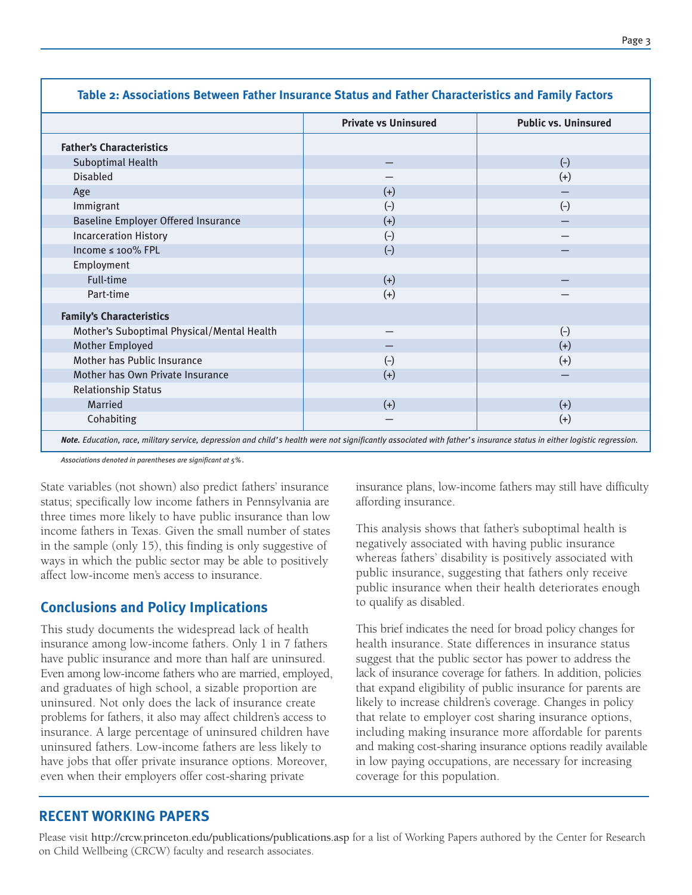|                                            | <b>Private vs Uninsured</b> | <b>Public vs. Uninsured</b> |
|--------------------------------------------|-----------------------------|-----------------------------|
| <b>Father's Characteristics</b>            |                             |                             |
| <b>Suboptimal Health</b>                   |                             | $(-)$                       |
| <b>Disabled</b>                            |                             | $(+)$                       |
| Age                                        | $(+)$                       |                             |
| Immigrant                                  | $(-)$                       | $(-)$                       |
| <b>Baseline Employer Offered Insurance</b> | $(+)$                       |                             |
| <b>Incarceration History</b>               | $(-)$                       |                             |
| Income ≤ 100% FPL                          | $(-)$                       |                             |
| Employment                                 |                             |                             |
| Full-time                                  | $(+)$                       |                             |
| Part-time                                  | $(+)$                       |                             |
| <b>Family's Characteristics</b>            |                             |                             |
| Mother's Suboptimal Physical/Mental Health |                             | $(-)$                       |
| Mother Employed                            |                             | $(+)$                       |
| Mother has Public Insurance                | $(-)$                       | $(+)$                       |
| Mother has Own Private Insurance           | $(+)$                       |                             |
| <b>Relationship Status</b>                 |                             |                             |
| Married                                    | $(+)$                       | $(+)$                       |
| Cohabiting                                 |                             | $(+)$                       |

#### **Table 2: Associations Between Father Insurance Status and Father Characteristics and Family Factors**

*Associations denoted in parentheses are significant at 5%.*

State variables (not shown) also predict fathers' insurance status; specifically low income fathers in Pennsylvania are three times more likely to have public insurance than low income fathers in Texas. Given the small number of states in the sample (only 15), this finding is only suggestive of ways in which the public sector may be able to positively affect low-income men's access to insurance.

#### **Conclusions and Policy Implications**

This study documents the widespread lack of health insurance among low-income fathers. Only 1 in 7 fathers have public insurance and more than half are uninsured. Even among low-income fathers who are married, employed, and graduates of high school, a sizable proportion are uninsured. Not only does the lack of insurance create problems for fathers, it also may affect children's access to insurance. A large percentage of uninsured children have uninsured fathers. Low-income fathers are less likely to have jobs that offer private insurance options. Moreover, even when their employers offer cost-sharing private

insurance plans, low-income fathers may still have difficulty affording insurance.

This analysis shows that father's suboptimal health is negatively associated with having public insurance whereas fathers' disability is positively associated with public insurance, suggesting that fathers only receive public insurance when their health deteriorates enough to qualify as disabled.

This brief indicates the need for broad policy changes for health insurance. State differences in insurance status suggest that the public sector has power to address the lack of insurance coverage for fathers. In addition, policies that expand eligibility of public insurance for parents are likely to increase children's coverage. Changes in policy that relate to employer cost sharing insurance options, including making insurance more affordable for parents and making cost-sharing insurance options readily available in low paying occupations, are necessary for increasing coverage for this population.

#### **RECENT WORKING PAPERS**

Please visit http://crcw.princeton.edu/publications/publications.asp for a list of Working Papers authored by the Center for Research on Child Wellbeing (CRCW) faculty and research associates.